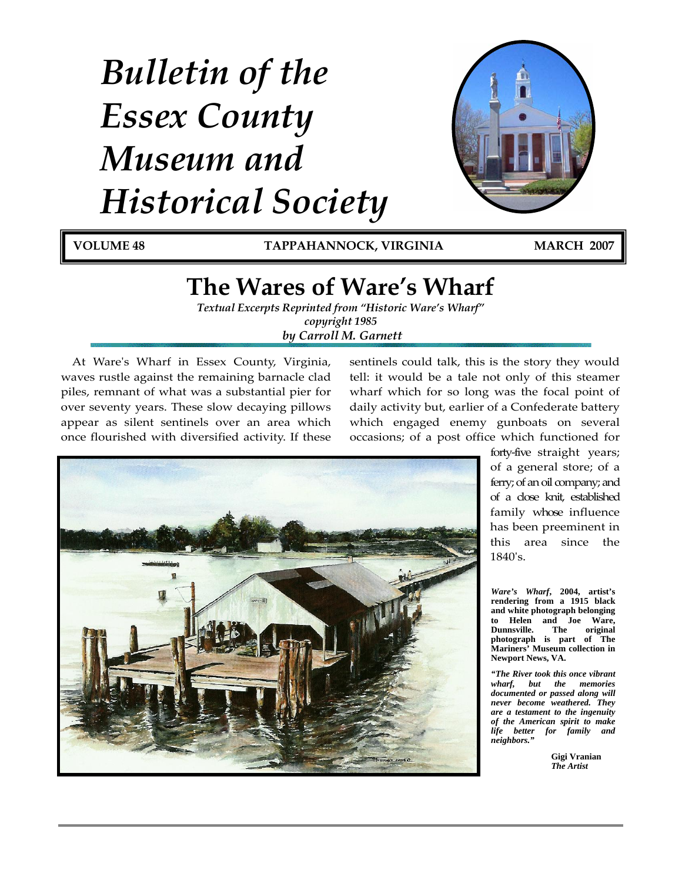# *Bulletin of the Essex County Museum and Historical Society*



**VOLUME 48 TAPPAHANNOCK, VIRGINIA MARCH 2007**

# **The Wares of Ware's Wharf**

*Textual Excerpts Reprinted from "Historic Ware's Wharf" copyright 1985 by Carroll M. Garnett* 

At Wareʹs Wharf in Essex County, Virginia, waves rustle against the remaining barnacle clad piles, remnant of what was a substantial pier for over seventy years. These slow decaying pillows appear as silent sentinels over an area which once flourished with diversified activity. If these

sentinels could talk, this is the story they would tell: it would be a tale not only of this steamer wharf which for so long was the focal point of daily activity but, earlier of a Confederate battery which engaged enemy gunboats on several occasions; of a post office which functioned for



forty‐five straight years; of a general store; of a ferry; of an oil company; and of a close knit, established family whose influence has been preeminent in this area since the 1840ʹs.

*Ware's Wharf***, 2004, artist's rendering from a 1915 black and white photograph belonging to Helen and Joe Ware, Dunnsville. photograph is part of The Mariners' Museum collection in Newport News, VA.** 

*"The River took this once vibrant wharf, but the memories documented or passed along will never become weathered. They are a testament to the ingenuity of the American spirit to make life better for family and neighbors."* 

> **Gigi Vranian**  *The Artist*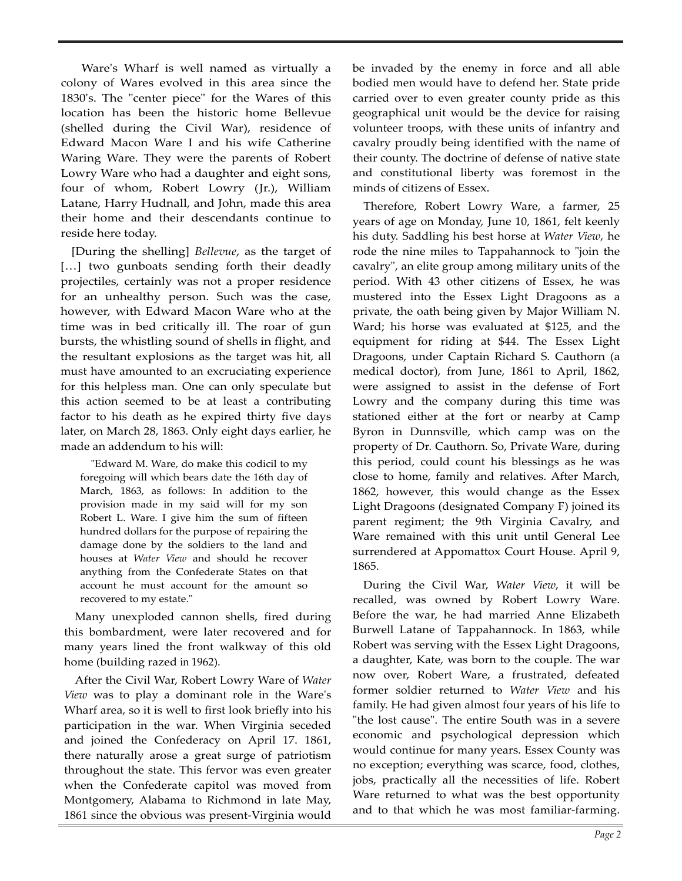Wareʹs Wharf is well named as virtually a colony of Wares evolved in this area since the 1830's. The "center piece" for the Wares of this location has been the historic home Bellevue (shelled during the Civil War), residence of Edward Macon Ware I and his wife Catherine Waring Ware. They were the parents of Robert Lowry Ware who had a daughter and eight sons, four of whom, Robert Lowry (Jr.), William Latane, Harry Hudnall, and John, made this area their home and their descendants continue to reside here today.

[During the shelling] *Bellevue*, as the target of [...] two gunboats sending forth their deadly projectiles, certainly was not a proper residence for an unhealthy person. Such was the case, however, with Edward Macon Ware who at the time was in bed critically ill. The roar of gun bursts, the whistling sound of shells in flight, and the resultant explosions as the target was hit, all must have amounted to an excruciating experience for this helpless man. One can only speculate but this action seemed to be at least a contributing factor to his death as he expired thirty five days later, on March 28, 1863. Only eight days earlier, he made an addendum to his will:

"Edward M. Ware, do make this codicil to my foregoing will which bears date the 16th day of March, 1863, as follows: In addition to the provision made in my said will for my son Robert L. Ware. I give him the sum of fifteen hundred dollars for the purpose of repairing the damage done by the soldiers to the land and houses at *Water View* and should he recover anything from the Confederate States on that account he must account for the amount so recovered to my estate."

Many unexploded cannon shells, fired during this bombardment, were later recovered and for many years lined the front walkway of this old home (building razed in 1962).

After the Civil War, Robert Lowry Ware of *Water View* was to play a dominant role in the Wareʹs Wharf area, so it is well to first look briefly into his participation in the war. When Virginia seceded and joined the Confederacy on April 17. 1861, there naturally arose a great surge of patriotism throughout the state. This fervor was even greater when the Confederate capitol was moved from Montgomery, Alabama to Richmond in late May, 1861 since the obvious was present‐Virginia would

be invaded by the enemy in force and all able bodied men would have to defend her. State pride carried over to even greater county pride as this geographical unit would be the device for raising volunteer troops, with these units of infantry and cavalry proudly being identified with the name of their county. The doctrine of defense of native state and constitutional liberty was foremost in the minds of citizens of Essex.

Therefore, Robert Lowry Ware, a farmer, 25 years of age on Monday, June 10, 1861, felt keenly his duty. Saddling his best horse at *Water View*, he rode the nine miles to Tappahannock to "join the cavalryʺ, an elite group among military units of the period. With 43 other citizens of Essex, he was mustered into the Essex Light Dragoons as a private, the oath being given by Major William N. Ward; his horse was evaluated at \$125, and the equipment for riding at \$44. The Essex Light Dragoons, under Captain Richard S. Cauthorn (a medical doctor), from June, 1861 to April, 1862, were assigned to assist in the defense of Fort Lowry and the company during this time was stationed either at the fort or nearby at Camp Byron in Dunnsville, which camp was on the property of Dr. Cauthorn. So, Private Ware, during this period, could count his blessings as he was close to home, family and relatives. After March, 1862, however, this would change as the Essex Light Dragoons (designated Company F) joined its parent regiment; the 9th Virginia Cavalry, and Ware remained with this unit until General Lee surrendered at Appomattox Court House. April 9, 1865.

During the Civil War, *Water View*, it will be recalled, was owned by Robert Lowry Ware. Before the war, he had married Anne Elizabeth Burwell Latane of Tappahannock. In 1863, while Robert was serving with the Essex Light Dragoons, a daughter, Kate, was born to the couple. The war now over, Robert Ware, a frustrated, defeated former soldier returned to *Water View* and his family. He had given almost four years of his life to "the lost cause". The entire South was in a severe economic and psychological depression which would continue for many years. Essex County was no exception; everything was scarce, food, clothes, jobs, practically all the necessities of life. Robert Ware returned to what was the best opportunity and to that which he was most familiar‐farming.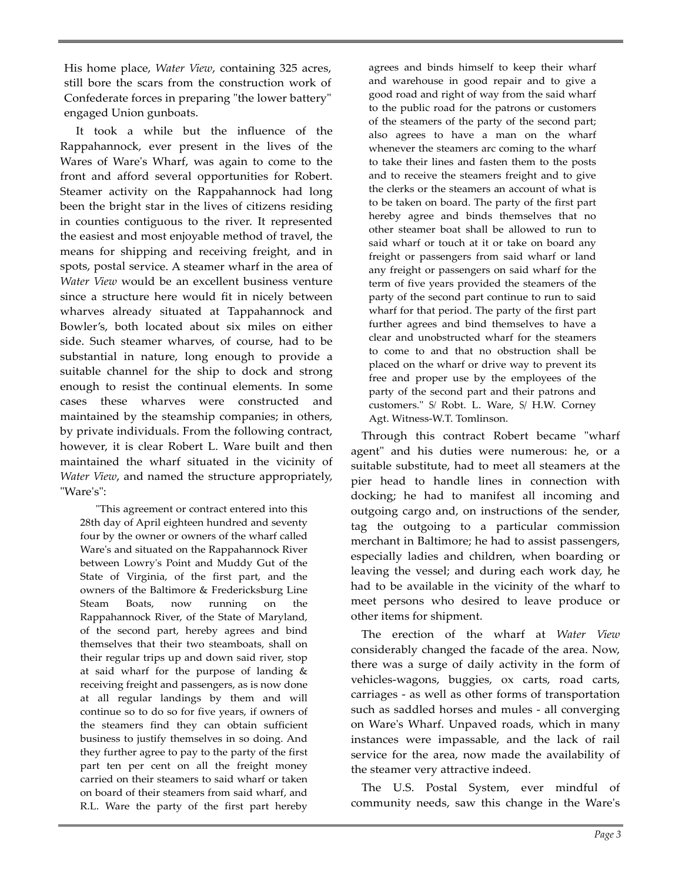His home place, *Water View*, containing 325 acres, still bore the scars from the construction work of Confederate forces in preparing "the lower battery" engaged Union gunboats.

It took a while but the influence of the Rappahannock, ever present in the lives of the Wares of Wareʹs Wharf, was again to come to the front and afford several opportunities for Robert. Steamer activity on the Rappahannock had long been the bright star in the lives of citizens residing in counties contiguous to the river. It represented the easiest and most enjoyable method of travel, the means for shipping and receiving freight, and in spots, postal service. A steamer wharf in the area of *Water View* would be an excellent business venture since a structure here would fit in nicely between wharves already situated at Tappahannock and Bowler's, both located about six miles on either side. Such steamer wharves, of course, had to be substantial in nature, long enough to provide a suitable channel for the ship to dock and strong enough to resist the continual elements. In some cases these wharves were constructed and maintained by the steamship companies; in others, by private individuals. From the following contract, however, it is clear Robert L. Ware built and then maintained the wharf situated in the vicinity of *Water View*, and named the structure appropriately, "Ware's":

ʺThis agreement or contract entered into this 28th day of April eighteen hundred and seventy four by the owner or owners of the wharf called Wareʹs and situated on the Rappahannock River between Lowryʹs Point and Muddy Gut of the State of Virginia, of the first part, and the owners of the Baltimore & Fredericksburg Line Steam Boats, now running on the Rappahannock River, of the State of Maryland, of the second part, hereby agrees and bind themselves that their two steamboats, shall on their regular trips up and down said river, stop at said wharf for the purpose of landing & receiving freight and passengers, as is now done at all regular landings by them and will continue so to do so for five years, if owners of the steamers find they can obtain sufficient business to justify themselves in so doing. And they further agree to pay to the party of the first part ten per cent on all the freight money carried on their steamers to said wharf or taken on board of their steamers from said wharf, and R.L. Ware the party of the first part hereby

agrees and binds himself to keep their wharf and warehouse in good repair and to give a good road and right of way from the said wharf to the public road for the patrons or customers of the steamers of the party of the second part; also agrees to have a man on the wharf whenever the steamers arc coming to the wharf to take their lines and fasten them to the posts and to receive the steamers freight and to give the clerks or the steamers an account of what is to be taken on board. The party of the first part hereby agree and binds themselves that no other steamer boat shall be allowed to run to said wharf or touch at it or take on board any freight or passengers from said wharf or land any freight or passengers on said wharf for the term of five years provided the steamers of the party of the second part continue to run to said wharf for that period. The party of the first part further agrees and bind themselves to have a clear and unobstructed wharf for the steamers to come to and that no obstruction shall be placed on the wharf or drive way to prevent its free and proper use by the employees of the party of the second part and their patrons and customers.ʺ S*/* Robt. L. Ware, S/ H.W. Corney Agt. Witness‐W.T. Tomlinson.

Through this contract Robert became "wharf agent" and his duties were numerous: he, or a suitable substitute, had to meet all steamers at the pier head to handle lines in connection with docking; he had to manifest all incoming and outgoing cargo and, on instructions of the sender, tag the outgoing to a particular commission merchant in Baltimore; he had to assist passengers, especially ladies and children, when boarding or leaving the vessel; and during each work day, he had to be available in the vicinity of the wharf to meet persons who desired to leave produce or other items for shipment.

The erection of the wharf at *Water View* considerably changed the facade of the area. Now, there was a surge of daily activity in the form of vehicles‐wagons, buggies, ox carts, road carts, carriages ‐ as well as other forms of transportation such as saddled horses and mules - all converging on Wareʹs Wharf. Unpaved roads, which in many instances were impassable, and the lack of rail service for the area, now made the availability of the steamer very attractive indeed.

The U.S. Postal System, ever mindful of community needs, saw this change in the Wareʹs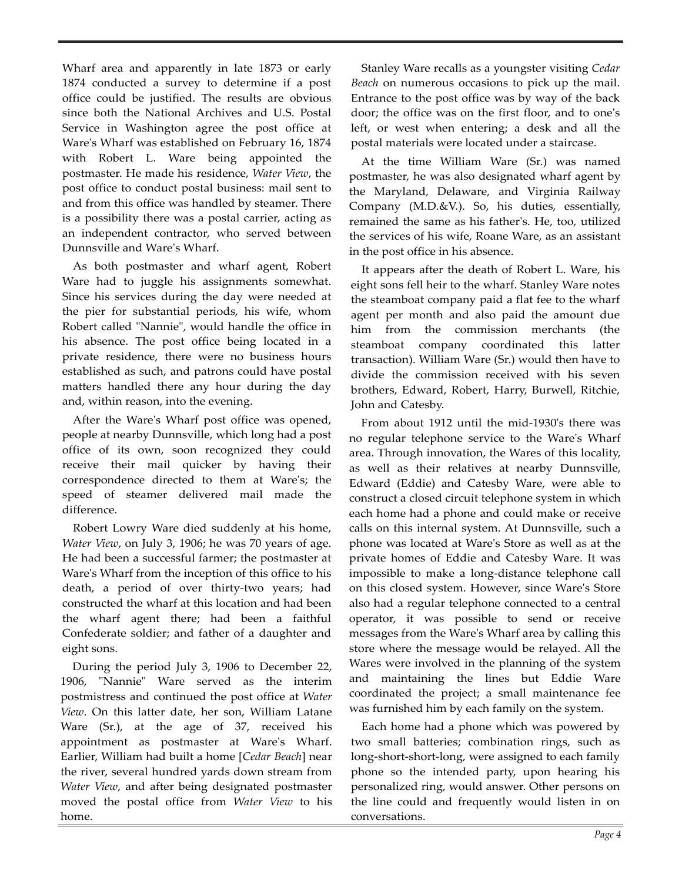Wharf area and apparently in late 1873 or early 1874 conducted a survey to determine if a post office could be justified. The results are obvious since both the National Archives and U.S. Postal Service in Washington agree the post office at Wareʹs Wharf was established on February 16, 1874 with Robert L. Ware being appointed the postmaster. He made his residence, *Water View*, the post office to conduct postal business: mail sent to and from this office was handled by steamer. There is a possibility there was a postal carrier, acting as an independent contractor, who served between Dunnsville and Wareʹs Wharf.

As both postmaster and wharf agent, Robert Ware had to juggle his assignments somewhat. Since his services during the day were needed at the pier for substantial periods, his wife, whom Robert called "Nannie", would handle the office in his absence. The post office being located in a private residence, there were no business hours established as such, and patrons could have postal matters handled there any hour during the day and, within reason, into the evening.

After the Wareʹs Wharf post office was opened, people at nearby Dunnsville, which long had a post office of its own, soon recognized they could receive their mail quicker by having their correspondence directed to them at Wareʹs; the speed of steamer delivered mail made the difference.

Robert Lowry Ware died suddenly at his home, *Water View*, on July 3, 1906; he was 70 years of age. He had been a successful farmer; the postmaster at Ware's Wharf from the inception of this office to his death, a period of over thirty‐two years; had constructed the wharf at this location and had been the wharf agent there; had been a faithful Confederate soldier; and father of a daughter and eight sons.

During the period July 3, 1906 to December 22, 1906, "Nannie" Ware served as the interim postmistress and continued the post office at *Water View*. On this latter date, her son, William Latane Ware (Sr.), at the age of 37, received his appointment as postmaster at Wareʹs Wharf. Earlier, William had built a home [*Cedar Beach*] near the river, several hundred yards down stream from *Water View*, and after being designated postmaster moved the postal office from *Water View* to his home.

Stanley Ware recalls as a youngster visiting *Cedar Beach* on numerous occasions to pick up the mail. Entrance to the post office was by way of the back door; the office was on the first floor, and to oneʹs left, or west when entering; a desk and all the postal materials were located under a staircase.

At the time William Ware (Sr.) was named postmaster, he was also designated wharf agent by the Maryland, Delaware, and Virginia Railway Company (M.D.&V.). So, his duties, essentially, remained the same as his fatherʹs. He, too, utilized the services of his wife, Roane Ware, as an assistant in the post office in his absence.

It appears after the death of Robert L. Ware, his eight sons fell heir to the wharf. Stanley Ware notes the steamboat company paid a flat fee to the wharf agent per month and also paid the amount due him from the commission merchants (the steamboat company coordinated this latter transaction). William Ware (Sr.) would then have to divide the commission received with his seven brothers, Edward, Robert, Harry, Burwell, Ritchie, John and Catesby.

From about 1912 until the mid‐1930ʹs there was no regular telephone service to the Wareʹs Wharf area. Through innovation, the Wares of this locality, as well as their relatives at nearby Dunnsville, Edward (Eddie) and Catesby Ware, were able to construct a closed circuit telephone system in which each home had a phone and could make or receive calls on this internal system. At Dunnsville, such a phone was located at Wareʹs Store as well as at the private homes of Eddie and Catesby Ware. It was impossible to make a long‐distance telephone call on this closed system. However, since Wareʹs Store also had a regular telephone connected to a central operator, it was possible to send or receive messages from the Wareʹs Wharf area by calling this store where the message would be relayed. All the Wares were involved in the planning of the system and maintaining the lines but Eddie Ware coordinated the project; a small maintenance fee was furnished him by each family on the system.

Each home had a phone which was powered by two small batteries; combination rings, such as long‐short‐short‐long, were assigned to each family phone so the intended party, upon hearing his personalized ring, would answer. Other persons on the line could and frequently would listen in on conversations.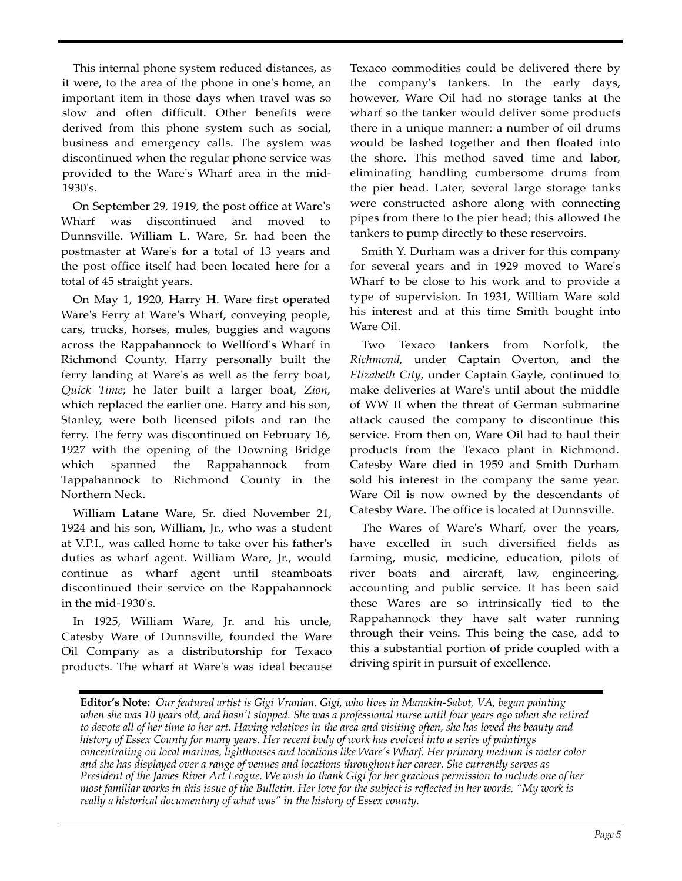This internal phone system reduced distances, as it were, to the area of the phone in oneʹs home, an important item in those days when travel was so slow and often difficult. Other benefits were derived from this phone system such as social, business and emergency calls. The system was discontinued when the regular phone service was provided to the Wareʹs Wharf area in the mid‐ 1930ʹs.

On September 29, 1919, the post office at Wareʹs Wharf was discontinued and moved to Dunnsville. William L. Ware, Sr. had been the postmaster at Wareʹs for a total of 13 years and the post office itself had been located here for a total of 45 straight years.

On May 1, 1920, Harry H. Ware first operated Ware's Ferry at Ware's Wharf, conveying people, cars, trucks, horses, mules, buggies and wagons across the Rappahannock to Wellfordʹs Wharf in Richmond County. Harry personally built the ferry landing at Wareʹs as well as the ferry boat, *Quick Time*; he later built a larger boat, *Zion*, which replaced the earlier one. Harry and his son, Stanley, were both licensed pilots and ran the ferry. The ferry was discontinued on February 16, 1927 with the opening of the Downing Bridge which spanned the Rappahannock from Tappahannock to Richmond County in the Northern Neck.

William Latane Ware, Sr. died November 21, 1924 and his son, William, Jr., who was a student at V.P.I., was called home to take over his fatherʹs duties as wharf agent. William Ware, Jr., would continue as wharf agent until steamboats discontinued their service on the Rappahannock in the mid‐1930ʹs.

In 1925, William Ware, Jr. and his uncle, Catesby Ware of Dunnsville, founded the Ware Oil Company as a distributorship for Texaco products. The wharf at Wareʹs was ideal because Texaco commodities could be delivered there by the companyʹs tankers. In the early days, however, Ware Oil had no storage tanks at the wharf so the tanker would deliver some products there in a unique manner: a number of oil drums would be lashed together and then floated into the shore. This method saved time and labor, eliminating handling cumbersome drums from the pier head. Later, several large storage tanks were constructed ashore along with connecting pipes from there to the pier head; this allowed the tankers to pump directly to these reservoirs.

Smith Y. Durham was a driver for this company for several years and in 1929 moved to Wareʹs Wharf to be close to his work and to provide a type of supervision. In 1931, William Ware sold his interest and at this time Smith bought into Ware Oil.

Two Texaco tankers from Norfolk, the *Richmond,* under Captain Overton, and the *Elizabeth City*, under Captain Gayle, continued to make deliveries at Wareʹs until about the middle of WW II when the threat of German submarine attack caused the company to discontinue this service. From then on, Ware Oil had to haul their products from the Texaco plant in Richmond. Catesby Ware died in 1959 and Smith Durham sold his interest in the company the same year. Ware Oil is now owned by the descendants of Catesby Ware. The office is located at Dunnsville.

The Wares of Wareʹs Wharf, over the years, have excelled in such diversified fields as farming, music, medicine, education, pilots of river boats and aircraft, law, engineering, accounting and public service. It has been said these Wares are so intrinsically tied to the Rappahannock they have salt water running through their veins. This being the case, add to this a substantial portion of pride coupled with a driving spirit in pursuit of excellence.

**Editor's Note:** *Our featured artist is Gigi Vranian. Gigi, who lives in Manakin-Sabot, VA, began painting*  when she was 10 years old, and hasn't stopped. She was a professional nurse until four years ago when she retired *to devote all of her time to her art. Having relatives in the area and visiting often, she has loved the beauty and history of Essex County for many years. Her recent body of work has evolved into a series of paintings concentrating on local marinas, lighthouses and locations like Ware's Wharf. Her primary medium is water color and she has displayed over a range of venues and locations throughout her career. She currently serves as President of the James River Art League. We wish to thank Gigi for her gracious permission to include one of her most familiar works in this issue of the Bulletin. Her love for the subject is reflected in her words, "My work is really a historical documentary of what was" in the history of Essex county.*